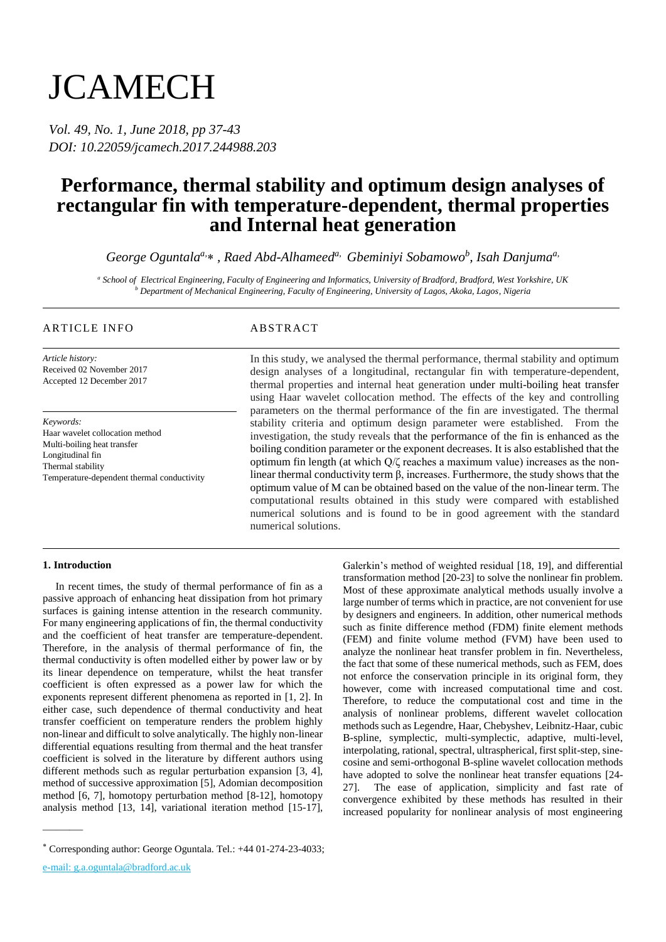# **JCAMECH**

*Vol. 49, No. 1, June 2018, pp 37-43 DOI: 10.22059/jcamech.2017.244988.203*

## **Performance, thermal stability and optimum design analyses of rectangular fin with temperature-dependent, thermal properties and Internal heat generation**

*George Oguntalaa, , Raed Abd-Alhameeda, Gbeminiyi Sobamowo<sup>b</sup> , Isah Danjumaa,*

*<sup>a</sup> School of Electrical Engineering, Faculty of Engineering and Informatics, University of Bradford, Bradford, West Yorkshire, UK <sup>b</sup> Department of Mechanical Engineering, Faculty of Engineering, University of Lagos, Akoka, Lagos, Nigeria*

### ARTICLE INFO ABSTRACT

*Article history:* Received 02 November 2017 Accepted 12 December 2017

*Keywords:* Haar wavelet collocation method Multi-boiling heat transfer Longitudinal fin Thermal stability Temperature-dependent thermal conductivity

In this study, we analysed the thermal performance, thermal stability and optimum design analyses of a longitudinal, rectangular fin with temperature-dependent, thermal properties and internal heat generation under multi-boiling heat transfer using Haar wavelet collocation method. The effects of the key and controlling parameters on the thermal performance of the fin are investigated. The thermal stability criteria and optimum design parameter were established. From the investigation, the study reveals that the performance of the fin is enhanced as the boiling condition parameter or the exponent decreases. It is also established that the optimum fin length (at which Q/ζ reaches a maximum value) increases as the nonlinear thermal conductivity term β, increases. Furthermore, the study shows that the optimum value of M can be obtained based on the value of the non-linear term. The computational results obtained in this study were compared with established numerical solutions and is found to be in good agreement with the standard numerical solutions.

#### **1. Introduction**

In recent times, the study of thermal performance of fin as a passive approach of enhancing heat dissipation from hot primary surfaces is gaining intense attention in the research community. For many engineering applications of fin, the thermal conductivity and the coefficient of heat transfer are temperature-dependent. Therefore, in the analysis of thermal performance of fin, the thermal conductivity is often modelled either by power law or by its linear dependence on temperature, whilst the heat transfer coefficient is often expressed as a power law for which the exponents represent different phenomena as reported in [\[1,](#page-5-0) [2\]](#page-5-1). In either case, such dependence of thermal conductivity and heat transfer coefficient on temperature renders the problem highly non-linear and difficult to solve analytically. The highly non-linear differential equations resulting from thermal and the heat transfer coefficient is solved in the literature by different authors using different methods such as regular perturbation expansion [\[3,](#page-5-2) [4\]](#page-5-3), method of successive approximation [\[5\]](#page-5-4), Adomian decomposition method [\[6,](#page-5-5) [7\]](#page-5-6), homotopy perturbation method [\[8-12\]](#page-5-7), homotopy analysis method [\[13,](#page-5-8) [14\]](#page-6-0), variational iteration method [\[15-17\]](#page-6-1),

e-mail: g.a.oguntala@bradford.ac.uk

———

Galerkin's method of weighted residual [\[18,](#page-6-2) [19\]](#page-6-3), and differential transformation method [\[20-23\]](#page-6-4) to solve the nonlinear fin problem. Most of these approximate analytical methods usually involve a large number of terms which in practice, are not convenient for use by designers and engineers. In addition, other numerical methods such as finite difference method (FDM) finite element methods (FEM) and finite volume method (FVM) have been used to analyze the nonlinear heat transfer problem in fin. Nevertheless, the fact that some of these numerical methods, such as FEM, does not enforce the conservation principle in its original form, they however, come with increased computational time and cost. Therefore, to reduce the computational cost and time in the analysis of nonlinear problems, different wavelet collocation methods such as Legendre, Haar, Chebyshev, Leibnitz-Haar, cubic B-spline, symplectic, multi-symplectic, adaptive, multi-level, interpolating, rational, spectral, ultraspherical, first split-step, sinecosine and semi-orthogonal B-spline wavelet collocation methods have adopted to solve the nonlinear heat transfer equations [\[24-](#page-6-5) [27\]](#page-6-5). The ease of application, simplicity and fast rate of convergence exhibited by these methods has resulted in their increased popularity for nonlinear analysis of most engineering

Corresponding author: George Oguntala. Tel.: +44 01-274-23-4033;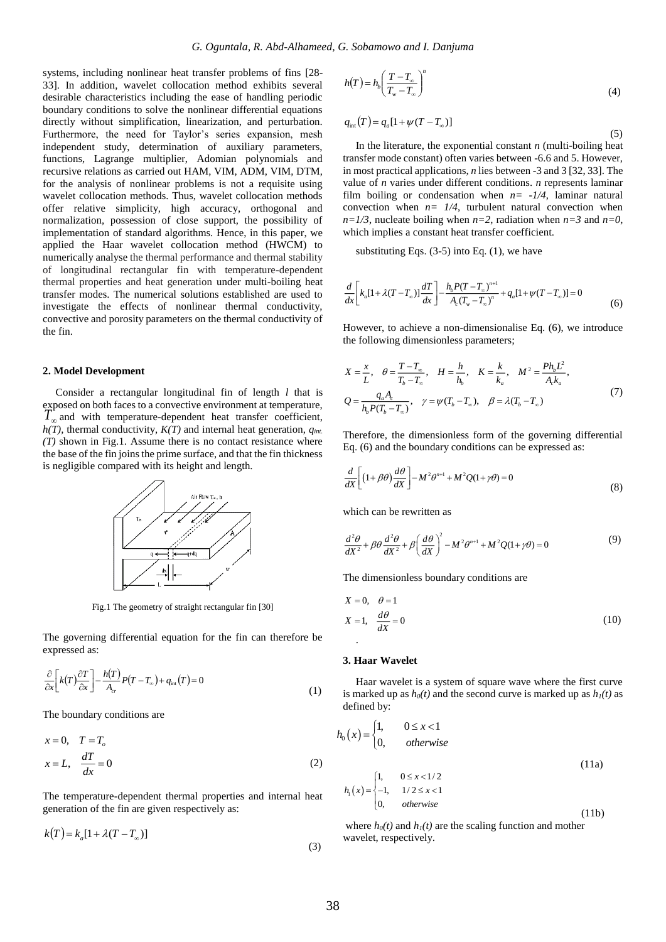systems, including nonlinear heat transfer problems of fins [\[28-](#page-6-6) [33\]](#page-6-6). In addition, wavelet collocation method exhibits several desirable characteristics including the ease of handling periodic boundary conditions to solve the nonlinear differential equations directly without simplification, linearization, and perturbation. Furthermore, the need for Taylor's series expansion, mesh independent study, determination of auxiliary parameters, functions, Lagrange multiplier, Adomian polynomials and recursive relations as carried out HAM, VIM, ADM, VIM, DTM, for the analysis of nonlinear problems is not a requisite using wavelet collocation methods. Thus, wavelet collocation methods offer relative simplicity, high accuracy, orthogonal and normalization, possession of close support, the possibility of implementation of standard algorithms. Hence, in this paper, we applied the Haar wavelet collocation method (HWCM) to numerically analyse the thermal performance and thermal stability of longitudinal rectangular fin with temperature-dependent thermal properties and heat generation under multi-boiling heat transfer modes. The numerical solutions established are used to investigate the effects of nonlinear thermal conductivity, convective and porosity parameters on the thermal conductivity of the fin.

#### **2. Model Development**

Consider a rectangular longitudinal fin of length *l* that is exposed on both faces to a convective environment at temperature,  $T_{\infty}$  and with temperature-dependent heat transfer coefficient, *h(T),* thermal conductivity, *K(T)* and internal heat generation, *qint. (T)* shown in Fig.1. Assume there is no contact resistance where the base of the fin joins the prime surface, and that the fin thickness is negligible compared with its height and length.



Fig.1 The geometry of straight rectangular fin [30]

The governing differential equation for the fin can therefore be expressed as:

$$
\frac{\partial}{\partial x}\left[k(T)\frac{\partial T}{\partial x}\right] - \frac{h(T)}{A_{cr}}P(T - T_{\infty}) + q_{int}(T) = 0\tag{1}
$$

The boundary conditions are

$$
x = 0, \quad T = T_o
$$
  
\n
$$
x = L, \quad \frac{dT}{dx} = 0
$$
\n(2)

The temperature-dependent thermal properties and internal heat generation of the fin are given respectively as:

$$
k(T) = k_a [1 + \lambda (T - T_\infty)]
$$
\n(3)

$$
h(T) = h_b \left( \frac{T - T_{\infty}}{T_w - T_{\infty}} \right)^n \tag{4}
$$

$$
q_{\rm int}(T) = q_a [1 + \psi (T - T_{\infty})]
$$
\n<sup>(5)</sup>

In the literature, the exponential constant *n* (multi-boiling heat transfer mode constant) often varies between -6.6 and 5. However, in most practical applications, *n* lies between -3 and 3 [\[32,](#page-6-7) [33\]](#page-6-8). The value of *n* varies under different conditions. *n* represents laminar film boiling or condensation when  $n = -1/4$ , laminar natural convection when  $n = 1/4$ , turbulent natural convection when  $n=1/3$ , nucleate boiling when  $n=2$ , radiation when  $n=3$  and  $n=0$ , which implies a constant heat transfer coefficient.

substituting Eqs. (3-5) into Eq. (1), we have

$$
\frac{d}{dx}\bigg[k_a[1+\lambda(T-T_\infty)]\frac{dT}{dx}\bigg]-\frac{h_bP(T-T_\infty)^{n+1}}{A_c(T_w-T_\infty)^n}+q_a[1+\psi(T-T_\infty)]=0\tag{6}
$$

However, to achieve a non-dimensionalise Eq. (6), we introduce the following dimensionless parameters;

$$
X = \frac{x}{L}, \quad \theta = \frac{T - T_{\infty}}{T_b - T_{\infty}}, \quad H = \frac{h}{h_b}, \quad K = \frac{k}{k_a}, \quad M^2 = \frac{Ph_b L^2}{A_c k_a},
$$
  

$$
Q = \frac{q_a A_c}{h_b P(T_b - T_{\infty})}, \quad \gamma = \psi(T_b - T_{\infty}), \quad \beta = \lambda(T_b - T_{\infty})
$$
(7)

Therefore, the dimensionless form of the governing differential Eq. (6) and the boundary conditions can be expressed as:

$$
\frac{d}{dX}\left[ (1+\beta\theta) \frac{d\theta}{dX} \right] - M^2 \theta^{n+1} + M^2 Q (1+\gamma\theta) = 0
$$
\n(8)

which can be rewritten as

$$
\frac{d^2\theta}{dX^2} + \beta\theta \frac{d^2\theta}{dX^2} + \beta \left(\frac{d\theta}{dX}\right)^2 - M^2\theta^{n+1} + M^2 Q(1+\gamma\theta) = 0
$$
\n(9)

The dimensionless boundary conditions are

$$
X = 0, \quad \theta = 1
$$
  

$$
X = 1, \quad \frac{d\theta}{dX} = 0
$$
 (10)

#### **3. Haar Wavelet**

Haar wavelet is a system of square wave where the first curve is marked up as  $h_0(t)$  and the second curve is marked up as  $h_1(t)$  as defined by:

$$
h_0(x) = \begin{cases} 1, & 0 \le x < 1 \\ 0, & \text{otherwise} \end{cases} \tag{11a}
$$
\n
$$
h_1(x) = \begin{cases} 1, & 0 \le x < 1/2 \\ -1, & 1/2 \le x < 1 \\ 0, & \text{otherwise} \end{cases} \tag{11b}
$$

where  $h_0(t)$  and  $h_1(t)$  are the scaling function and mother wavelet, respectively.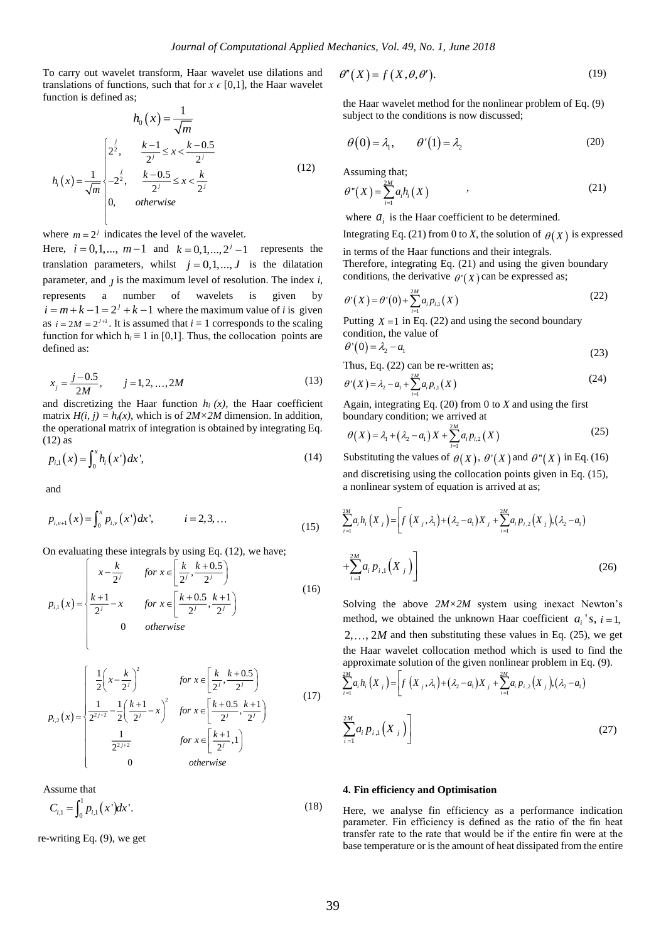To carry out wavelet transform, Haar wavelet use dilations and translations of functions, such that for  $x \in [0,1]$ , the Haar wavelet function is defined as;

$$
h_0(x) = \frac{1}{\sqrt{m}}
$$
  

$$
h_i(x) = \frac{1}{\sqrt{m}} \begin{cases} 2^{\frac{j}{2}}, & \frac{k-1}{2^j} \le x < \frac{k-0.5}{2^j} \\ -2^{\frac{j}{2}}, & \frac{k-0.5}{2^j} \le x < \frac{k}{2^j} \\ 0, & otherwise \end{cases}
$$
(12)

where  $m = 2<sup>j</sup>$  indicates the level of the wavelet.

Here,  $i = 0, 1, ..., m-1$  and  $k = 0, 1, ..., 2^{j} - 1$  represents the translation parameters, whilst  $j = 0, 1, ..., J$  is the dilatation parameter, and *J* is the maximum level of resolution. The index *i*, represents a number of wavelets is given by  $i = m + k - 1 = 2^{j} + k - 1$  where the maximum value of *i* is given as  $i = 2M = 2^{j+1}$ . It is assumed that  $i = 1$  corresponds to the scaling function for which  $h_i \equiv 1$  in [0,1]. Thus, the collocation points are defined as:

$$
x_j = \frac{j - 0.5}{2M}, \qquad j = 1, 2, ..., 2M
$$
 (13)

and discretizing the Haar function  $h_i(x)$ , the Haar coefficient matrix  $H(i, j) = h_i(x)$ , which is of  $2M \times 2M$  dimension. In addition, the operational matrix of integration is obtained by integrating Eq. (12) as

$$
p_{i,1}(x) = \int_0^x h_i(x')dx',
$$
 (14)

and

$$
p_{i,v+1}(x) = \int_0^x p_{i,v}(x') dx', \qquad i = 2, 3, ... \tag{15}
$$

On evaluating these integrals by using Eq. (12), we have;

$$
p_{i,1}(x) = \begin{cases} x - \frac{k}{2^{j}} & \text{for } x \in \left[\frac{k}{2^{j}}, \frac{k+0.5}{2^{j}}\right) \\ \frac{k+1}{2^{j}} - x & \text{for } x \in \left[\frac{k+0.5}{2^{j}}, \frac{k+1}{2^{j}}\right) \\ 0 & \text{otherwise} \end{cases}
$$
(16)  

$$
\left(\frac{1}{2}\left(x - \frac{k}{2^{j}}\right)^{2} & \text{for } x \in \left[\frac{k}{2^{j}}, \frac{k+0.5}{2^{j}}\right) \\ 1 & 1(k+1) \right)^{2} \qquad [k+0.5 \ k+1] \qquad (17)
$$

$$
p_{i,2}(x) = \begin{cases} 2\left(-\frac{2^{j}}{2}\right) & \left[\frac{2^{j}-\frac{2^{j}}{2^{j}}}{2}\right] \\ \frac{1}{2^{2j+2}} - \frac{1}{2}\left(\frac{k+1}{2^{j}}-x\right)^{2} & \text{for } x \in \left[\frac{k+0.5}{2^{j}}, \frac{k+1}{2^{j}}\right] \\ \frac{1}{2^{2j+2}} & \text{for } x \in \left[\frac{k+1}{2^{j}}, 1\right] \\ 0 & \text{otherwise} \end{cases}
$$
(17)

Assume that

$$
C_{i,1} = \int_0^1 p_{i,1}(x') dx'.
$$
 (18)

re-writing Eq. (9), we get

$$
\theta''(X) = f(X, \theta, \theta').
$$
\n(19)

the Haar wavelet method for the nonlinear problem of Eq. (9) subject to the conditions is now discussed;

$$
\theta(0) = \lambda_1, \qquad \theta'(1) = \lambda_2 \tag{20}
$$

Assuming that;

$$
\theta^{\prime\prime}(X) = \sum_{i=1}^{2M} a_i h_i(X) \qquad (21)
$$

where  $a_i$  is the Haar coefficient to be determined.

Integrating Eq. (21) from 0 to *X*, the solution of  $\theta(X)$  is expressed

in terms of the Haar functions and their integrals. Therefore, integrating Eq. (21) and using the given boundary

conditions, the derivative  $\theta'(X)$  can be expressed as;

$$
\theta'(X) = \theta'(0) + \sum_{i=1}^{2M} a_i p_{i,1}(X)
$$
\n(22)

aling Putting  $X = 1$  in Eq. (22) and using the second boundary condition, the value of  $\theta'(0) = \lambda_2 - a_1$ 

 (23) Thus, Eq. (22) can be re-written as;

$$
\theta'(X) = \lambda_2 - a_1 + \sum_{i=1}^{2M} a_i p_{i,1}(X)
$$
\n(24)

 Again, integrating Eq. (20) from 0 to *X* and using the first boundary condition; we arrived at

$$
\theta(X) = \lambda_1 + (\lambda_2 - a_1)X + \sum_{i=1}^{2M} a_i p_{i,2}(X)
$$
\n(25)

(14) Substituting the values of  $\theta(X)$ ,  $\theta'(X)$  and  $\theta''(X)$  in Eq. (16) and discretising using the collocation points given in Eq. (15), a nonlinear system of equation is arrived at as;

$$
\sum_{i=1}^{2M} a_i h_i(X_j) = \left[ f(X_j, \lambda_1) + (\lambda_2 - a_1) X_j + \sum_{i=1}^{2M} a_i p_{i,2}(X_j) (\lambda_2 - a_1) + \sum_{i=1}^{2M} a_i p_{i,1}(X_j) \right]
$$
\n(26)

Solving the above *2M×2M* system using inexact Newton's method, we obtained the unknown Haar coefficient  $a_i$ 's,  $i = 1$ ,  $2, \ldots, 2M$  and then substituting these values in Eq. (25), we get the Haar wavelet collocation method which is used to find the approximate solution of the given nonlinear problem in Eq. (9).

$$
\sum_{i=1}^{2M} a_i h_i(X_j) = \left[ f(X_j, \lambda_1) + (\lambda_2 - a_1) X_j + \sum_{i=1}^{2M} a_i p_{i,2}(X_j) (\lambda_2 - a_1) \right]
$$
\n
$$
\sum_{i=1}^{2M} a_i p_{i,1}(X_j)
$$
\n(27)

#### **4. Fin efficiency and Optimisation**

Here, we analyse fin efficiency as a performance indication parameter. Fin efficiency is defined as the ratio of the fin heat transfer rate to the rate that would be if the entire fin were at the base temperature or is the amount of heat dissipated from the entire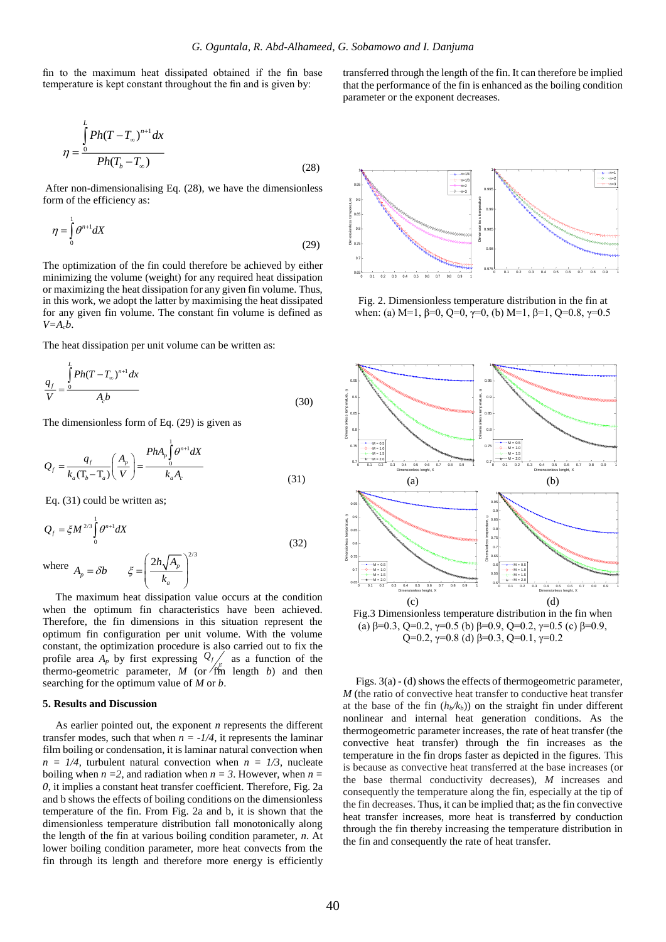fin to the maximum heat dissipated obtained if the fin base temperature is kept constant throughout the fin and is given by:

$$
\eta = \frac{\int_{0}^{L} Ph(T - T_{\infty})^{n+1} dx}{Ph(T_b - T_{\infty})}
$$
\n(28)

After non-dimensionalising Eq. (28), we have the dimensionless form of the efficiency as:

$$
\eta = \int_{0}^{1} \theta^{n+1} dX \tag{29}
$$

The optimization of the fin could therefore be achieved by either minimizing the volume (weight) for any required heat dissipation or maximizing the heat dissipation for any given fin volume. Thus, in this work, we adopt the latter by maximising the heat dissipated for any given fin volume. The constant fin volume is defined as  $V=A<sub>c</sub>b$ .

The heat dissipation per unit volume can be written as:

$$
\frac{q_f}{V} = \frac{\int_{0}^{L} Ph(T - T_{\infty})^{n+1} dx}{A_c b}
$$
\n(30)

The dimensionless form of Eq. (29) is given as

$$
Q_{f} = \frac{q_{f}}{k_{a}(\mathbf{T}_{b} - \mathbf{T}_{a})} \left(\frac{A_{p}}{V}\right) = \frac{PhA_{p} \int_{0}^{1} \theta^{n+1} dX}{k_{a} A_{c}}
$$
(31)

Eq. (31) could be written as;

$$
Q_f = \xi M^{2/3} \int_0^1 \theta^{n+1} dX
$$
 (32)

where  $A_p = \delta b$   $\xi = \left(\frac{2h\sqrt{A_p}}{k_a}\right)^{2/3}$  $A_p = \delta b$   $\xi = \left| \frac{2h\sqrt{A_p}}{k} \right|$ 

 $\left(2h,\overline{A}\right)$  $= \delta b \qquad \xi = \left( \frac{2R \sqrt{R_p}}{k_a} \right)$ 

The maximum heat dissipation value occurs at the condition when the optimum fin characteristics have been achieved. Therefore, the fin dimensions in this situation represent the optimum fin configuration per unit volume. With the volume constant, the optimization procedure is also carried out to fix the profile area  $A_p$  by first expressing  $Q_f$  $\sum_{k=0}^{\infty}$  as a function of the thermo-geometric parameter,  $M$  (or  $\sqrt{m}$  length *b*) and then searching for the optimum value of *M* or *b*.

#### **5. Results and Discussion**

As earlier pointed out, the exponent *n* represents the different transfer modes, such that when  $n = -1/4$ , it represents the laminar film boiling or condensation, it is laminar natural convection when  $n = 1/4$ , turbulent natural convection when  $n = 1/3$ , nucleate boiling when  $n = 2$ , and radiation when  $n = 3$ . However, when  $n = 1$ *0*, it implies a constant heat transfer coefficient. Therefore, Fig. 2a and b shows the effects of boiling conditions on the dimensionless temperature of the fin. From Fig. 2a and b, it is shown that the dimensionless temperature distribution fall monotonically along the length of the fin at various boiling condition parameter, *n*. At lower boiling condition parameter, more heat convects from the fin through its length and therefore more energy is efficiently

transferred through the length of the fin. It can therefore be implied that the performance of the fin is enhanced as the boiling condition parameter or the exponent decreases.



Fig. 2. Dimensionless temperature distribution in the fin at when: (a) M=1,  $\beta$ =0, Q=0,  $\gamma$ =0, (b) M=1,  $\beta$ =1, Q=0.8,  $\gamma$ =0.5



Fig.3 Dimensionless temperature distribution in the fin when (a)  $\beta$ =0.3, Q=0.2,  $\gamma$ =0.5 (b)  $\beta$ =0.9, Q=0.2,  $\gamma$ =0.5 (c)  $\beta$ =0.9, Q=0.2,  $\gamma$ =0.8 (d) β=0.3, Q=0.1,  $\gamma$ =0.2

Figs. 3(a) - (d) shows the effects of thermogeometric parameter, *M* (the ratio of convective heat transfer to conductive heat transfer at the base of the fin  $(h_b/k_b)$  on the straight fin under different nonlinear and internal heat generation conditions. As the thermogeometric parameter increases, the rate of heat transfer (the convective heat transfer) through the fin increases as the temperature in the fin drops faster as depicted in the figures. This is because as convective heat transferred at the base increases (or the base thermal conductivity decreases), *M* increases and consequently the temperature along the fin, especially at the tip of the fin decreases. Thus, it can be implied that; as the fin convective heat transfer increases, more heat is transferred by conduction through the fin thereby increasing the temperature distribution in the fin and consequently the rate of heat transfer.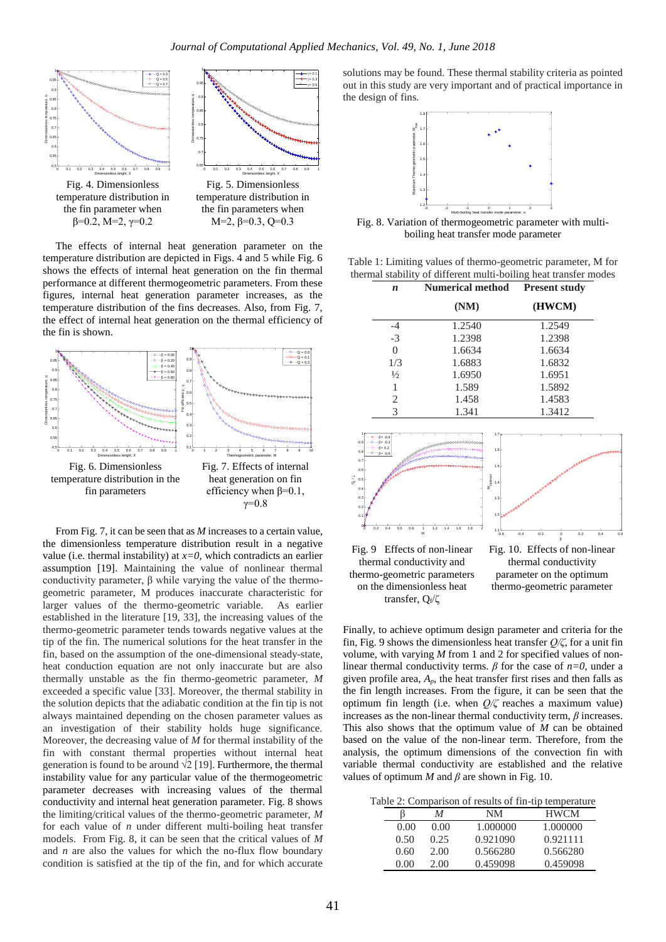

The effects of internal heat generation parameter on the temperature distribution are depicted in Figs. 4 and 5 while Fig. 6 shows the effects of internal heat generation on the fin thermal performance at different thermogeometric parameters. From these figures, internal heat generation parameter increases, as the temperature distribution of the fins decreases. Also, from Fig. 7, the effect of internal heat generation on the thermal efficiency of the fin is shown.



From Fig. 7, it can be seen that as *M* increases to a certain value, the dimensionless temperature distribution result in a negative value (i.e. thermal instability) at  $x=0$ , which contradicts an earlier assumption [\[19\]](#page-6-3). Maintaining the value of nonlinear thermal conductivity parameter, β while varying the value of the thermogeometric parameter, M produces inaccurate characteristic for larger values of the thermo-geometric variable. As earlier established in the literature [\[19,](#page-6-3) [33\]](#page-6-8), the increasing values of the thermo-geometric parameter tends towards negative values at the tip of the fin. The numerical solutions for the heat transfer in the fin, based on the assumption of the one-dimensional steady-state, heat conduction equation are not only inaccurate but are also thermally unstable as the fin thermo-geometric parameter, *M* exceeded a specific value [\[33\]](#page-6-8). Moreover, the thermal stability in the solution depicts that the adiabatic condition at the fin tip is not always maintained depending on the chosen parameter values as an investigation of their stability holds huge significance. Moreover, the decreasing value of *M* for thermal instability of the fin with constant thermal properties without internal heat generation is found to be around  $\sqrt{2}$  [\[19\]](#page-6-3). Furthermore, the thermal instability value for any particular value of the thermogeometric parameter decreases with increasing values of the thermal conductivity and internal heat generation parameter. Fig. 8 shows the limiting/critical values of the thermo-geometric parameter, *M* for each value of *n* under different multi-boiling heat transfer models. From Fig. 8, it can be seen that the critical values of *M* and *n* are also the values for which the no-flux flow boundary condition is satisfied at the tip of the fin, and for which accurate

solutions may be found. These thermal stability criteria as pointed out in this study are very important and of practical importance in the design of fins.



Fig. 8. Variation of thermogeometric parameter with multiboiling heat transfer mode parameter

Table 1: Limiting values of thermo-geometric parameter, M for thermal stability of different multi-boiling heat transfer modes

| n             | <b>Numerical method</b> | <b>Present study</b> |  |
|---------------|-------------------------|----------------------|--|
|               | (NM)                    | (HWCM)               |  |
| -4            | 1.2540                  | 1.2549               |  |
| $-3$          | 1.2398                  | 1.2398               |  |
| 0             | 1.6634                  | 1.6634               |  |
| 1/3           | 1.6883                  | 1.6832               |  |
| $\frac{1}{2}$ | 1.6950                  | 1.6951               |  |
| 1             | 1.589                   | 1.5892               |  |
| 2             | 1.458                   | 1.4583               |  |
| 3             | 1.341                   | 1.3412               |  |



Finally, to achieve optimum design parameter and criteria for the fin, Fig. 9 shows the dimensionless heat transfer *Q/ζ*, for a unit fin volume, with varying *M* from 1 and 2 for specified values of nonlinear thermal conductivity terms.  $\beta$  for the case of  $n=0$ , under a given profile area,  $A_p$ , the heat transfer first rises and then falls as the fin length increases. From the figure, it can be seen that the optimum fin length (i.e. when *Q/ζ* reaches a maximum value) increases as the non-linear thermal conductivity term,  $\beta$  increases. This also shows that the optimum value of *M* can be obtained based on the value of the non-linear term. Therefore, from the analysis, the optimum dimensions of the convection fin with variable thermal conductivity are established and the relative values of optimum *M* and  $\beta$  are shown in Fig. 10.

|  | Table 2: Comparison of results of fin-tip temperature |  |  |  |  |  |  |  |
|--|-------------------------------------------------------|--|--|--|--|--|--|--|
|--|-------------------------------------------------------|--|--|--|--|--|--|--|

|      | M    | NM       | <b>HWCM</b> |
|------|------|----------|-------------|
| 0.00 | 0.00 | 1.000000 | 1.000000    |
| 0.50 | 0.25 | 0.921090 | 0.921111    |
| 0.60 | 2.00 | 0.566280 | 0.566280    |
| 0.00 | 2.00 | 0.459098 | 0.459098    |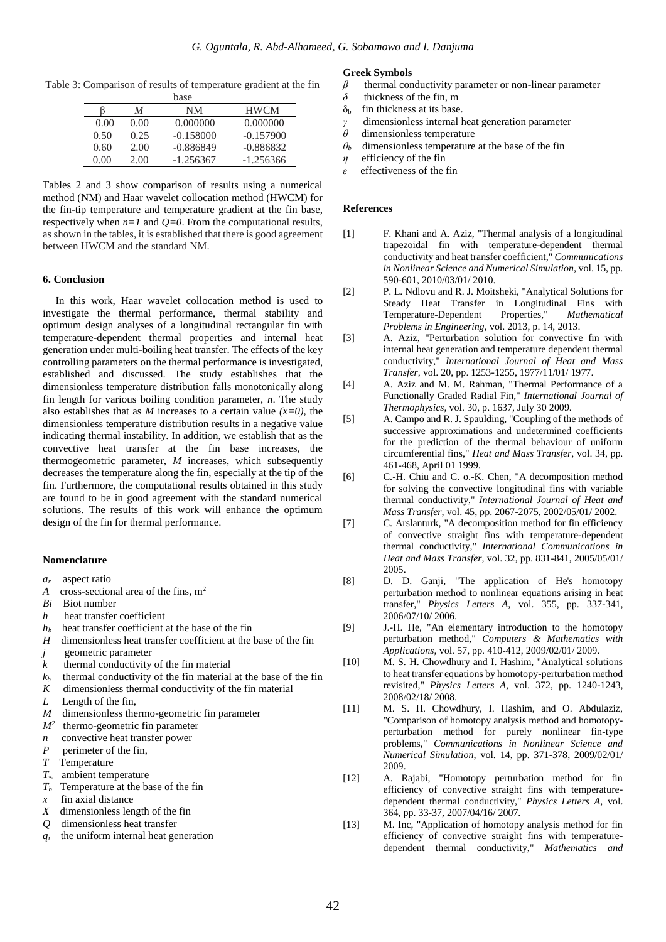Table 3: Comparison of results of temperature gradient at the fin

|      |      | base        |             |
|------|------|-------------|-------------|
|      | M    | NM          | <b>HWCM</b> |
| 0.00 | 0.00 | 0.000000    | 0.000000    |
| 0.50 | 0.25 | $-0.158000$ | $-0.157900$ |
| 0.60 | 2.00 | $-0.886849$ | $-0.886832$ |
| 0.00 | 2.00 | $-1.256367$ | $-1.256366$ |

Tables 2 and 3 show comparison of results using a numerical method (NM) and Haar wavelet collocation method (HWCM) for the fin-tip temperature and temperature gradient at the fin base, respectively when  $n=1$  and  $Q=0$ . From the computational results, as shown in the tables, it is established that there is good agreement between HWCM and the standard NM.

#### **6. Conclusion**

In this work, Haar wavelet collocation method is used to investigate the thermal performance, thermal stability and optimum design analyses of a longitudinal rectangular fin with temperature-dependent thermal properties and internal heat generation under multi-boiling heat transfer. The effects of the key controlling parameters on the thermal performance is investigated, established and discussed. The study establishes that the dimensionless temperature distribution falls monotonically along fin length for various boiling condition parameter, *n*. The study also establishes that as *M* increases to a certain value  $(x=0)$ , the dimensionless temperature distribution results in a negative value indicating thermal instability. In addition, we establish that as the convective heat transfer at the fin base increases, the thermogeometric parameter, *M* increases, which subsequently decreases the temperature along the fin, especially at the tip of the fin. Furthermore, the computational results obtained in this study are found to be in good agreement with the standard numerical solutions. The results of this work will enhance the optimum design of the fin for thermal performance.

#### **Nomenclature**

- *ar* aspect ratio
- *A* cross-sectional area of the fins,  $m<sup>2</sup>$
- *Bi* Biot number
- *h* heat transfer coefficient
- $h_b$  heat transfer coefficient at the base of the fin
- *H* dimensionless heat transfer coefficient at the base of the fin
- *j* geometric parameter
- *k* thermal conductivity of the fin material
- $k_b$  thermal conductivity of the fin material at the base of the fin
- *K* dimensionless thermal conductivity of the fin material
- *L* Length of the fin,
- *M* dimensionless thermo-geometric fin parameter
- *M<sup>2</sup>* thermo-geometric fin parameter
- *n* convective heat transfer power
- *P* perimeter of the fin,
- *T* Temperature
- *T∞* ambient temperature
- *Tb* Temperature at the base of the fin
- *x* fin axial distance
- *X* dimensionless length of the fin
- *Q* dimensionless heat transfer
- *qi* the uniform internal heat generation

#### **Greek Symbols**

- *β* thermal conductivity parameter or non-linear parameter
- *δ* thickness of the fin, m
- $\delta_{\rm b}$  fin thickness at its base.
- *γ* dimensionless internal heat generation parameter
- *θ* dimensionless temperature
- $\theta$ <sup>*b*</sup> dimensionless temperature at the base of the fin
- *η* efficiency of the fin
- *ε* effectiveness of the fin

#### **References**

- <span id="page-5-0"></span>[1] F. Khani and A. Aziz, "Thermal analysis of a longitudinal trapezoidal fin with temperature-dependent thermal conductivity and heat transfer coefficient," *Communications in Nonlinear Science and Numerical Simulation,* vol. 15, pp. 590-601, 2010/03/01/ 2010.
- <span id="page-5-1"></span>[2] P. L. Ndlovu and R. J. Moitsheki, "Analytical Solutions for Steady Heat Transfer in Longitudinal Fins with Temperature-Dependent Properties," *Mathematical Problems in Engineering,* vol. 2013, p. 14, 2013.
- <span id="page-5-2"></span>[3] A. Aziz, "Perturbation solution for convective fin with internal heat generation and temperature dependent thermal conductivity," *International Journal of Heat and Mass Transfer,* vol. 20, pp. 1253-1255, 1977/11/01/ 1977.
- <span id="page-5-3"></span>[4] A. Aziz and M. M. Rahman, "Thermal Performance of a Functionally Graded Radial Fin," *International Journal of Thermophysics,* vol. 30, p. 1637, July 30 2009.
- <span id="page-5-4"></span>[5] A. Campo and R. J. Spaulding, "Coupling of the methods of successive approximations and undetermined coefficients for the prediction of the thermal behaviour of uniform circumferential fins," *Heat and Mass Transfer,* vol. 34, pp. 461-468, April 01 1999.
- <span id="page-5-5"></span>[6] C.-H. Chiu and C. o.-K. Chen, "A decomposition method for solving the convective longitudinal fins with variable thermal conductivity," *International Journal of Heat and Mass Transfer,* vol. 45, pp. 2067-2075, 2002/05/01/ 2002.
- <span id="page-5-6"></span>[7] C. Arslanturk, "A decomposition method for fin efficiency of convective straight fins with temperature-dependent thermal conductivity," *International Communications in Heat and Mass Transfer,* vol. 32, pp. 831-841, 2005/05/01/ 2005.
- <span id="page-5-7"></span>[8] D. D. Ganji, "The application of He's homotopy perturbation method to nonlinear equations arising in heat transfer," *Physics Letters A,* vol. 355, pp. 337-341, 2006/07/10/ 2006.
- [9] J.-H. He, "An elementary introduction to the homotopy perturbation method," *Computers & Mathematics with Applications,* vol. 57, pp. 410-412, 2009/02/01/ 2009.
- [10] M. S. H. Chowdhury and I. Hashim, "Analytical solutions to heat transfer equations by homotopy-perturbation method revisited," *Physics Letters A,* vol. 372, pp. 1240-1243, 2008/02/18/ 2008.
- [11] M. S. H. Chowdhury, I. Hashim, and O. Abdulaziz, "Comparison of homotopy analysis method and homotopyperturbation method for purely nonlinear fin-type problems," *Communications in Nonlinear Science and Numerical Simulation,* vol. 14, pp. 371-378, 2009/02/01/ 2009.
- [12] A. Rajabi, "Homotopy perturbation method for fin efficiency of convective straight fins with temperaturedependent thermal conductivity," *Physics Letters A,* vol. 364, pp. 33-37, 2007/04/16/ 2007.
- <span id="page-5-8"></span>[13] M. Inc, "Application of homotopy analysis method for fin efficiency of convective straight fins with temperaturedependent thermal conductivity," *Mathematics and*